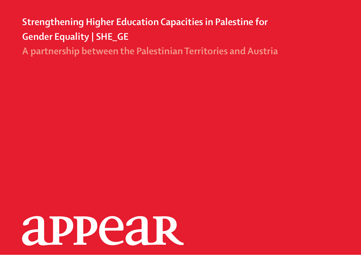## **Strengthening Higher Education Capacities in Palestine for Gender Equality | SHE\_GE**

**A partnership between the Palestinian Territories and Austria**

# **appear**